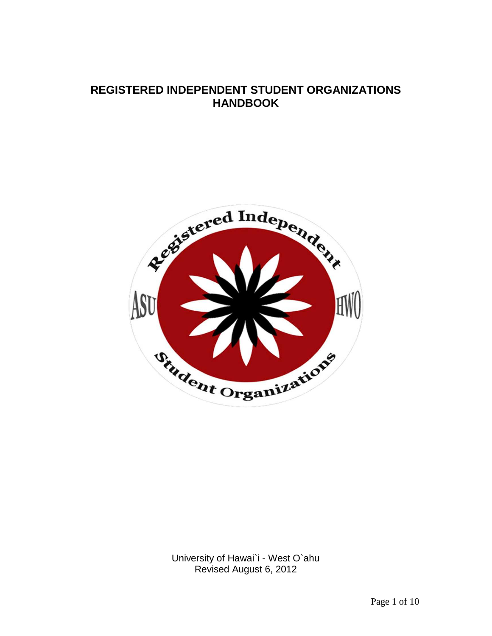# **REGISTERED INDEPENDENT STUDENT ORGANIZATIONS HANDBOOK**



University of Hawai`i - West O`ahu Revised August 6, 2012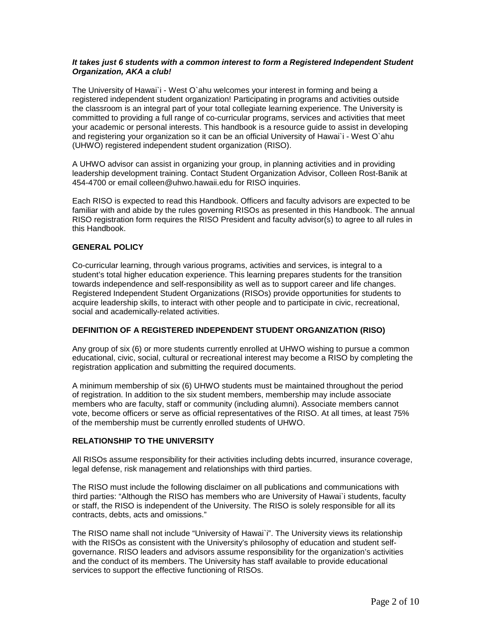## **It takes just 6 students with a common interest to form a Registered Independent Student Organization, AKA a club!**

The University of Hawai`i - West O`ahu welcomes your interest in forming and being a registered independent student organization! Participating in programs and activities outside the classroom is an integral part of your total collegiate learning experience. The University is committed to providing a full range of co-curricular programs, services and activities that meet your academic or personal interests. This handbook is a resource guide to assist in developing and registering your organization so it can be an official University of Hawai`i - West O`ahu (UHWO) registered independent student organization (RISO).

A UHWO advisor can assist in organizing your group, in planning activities and in providing leadership development training. Contact Student Organization Advisor, Colleen Rost-Banik at 454-4700 or email colleen@uhwo.hawaii.edu for RISO inquiries.

Each RISO is expected to read this Handbook. Officers and faculty advisors are expected to be familiar with and abide by the rules governing RISOs as presented in this Handbook. The annual RISO registration form requires the RISO President and faculty advisor(s) to agree to all rules in this Handbook.

## **GENERAL POLICY**

Co-curricular learning, through various programs, activities and services, is integral to a student's total higher education experience. This learning prepares students for the transition towards independence and self-responsibility as well as to support career and life changes. Registered Independent Student Organizations (RISOs) provide opportunities for students to acquire leadership skills, to interact with other people and to participate in civic, recreational, social and academically-related activities.

## **DEFINITION OF A REGISTERED INDEPENDENT STUDENT ORGANIZATION (RISO)**

Any group of six (6) or more students currently enrolled at UHWO wishing to pursue a common educational, civic, social, cultural or recreational interest may become a RISO by completing the registration application and submitting the required documents.

A minimum membership of six (6) UHWO students must be maintained throughout the period of registration. In addition to the six student members, membership may include associate members who are faculty, staff or community (including alumni). Associate members cannot vote, become officers or serve as official representatives of the RISO. At all times, at least 75% of the membership must be currently enrolled students of UHWO.

# **RELATIONSHIP TO THE UNIVERSITY**

All RISOs assume responsibility for their activities including debts incurred, insurance coverage, legal defense, risk management and relationships with third parties.

The RISO must include the following disclaimer on all publications and communications with third parties: "Although the RISO has members who are University of Hawai`i students, faculty or staff, the RISO is independent of the University. The RISO is solely responsible for all its contracts, debts, acts and omissions."

The RISO name shall not include "University of Hawai`i". The University views its relationship with the RISOs as consistent with the University's philosophy of education and student selfgovernance. RISO leaders and advisors assume responsibility for the organization's activities and the conduct of its members. The University has staff available to provide educational services to support the effective functioning of RISOs.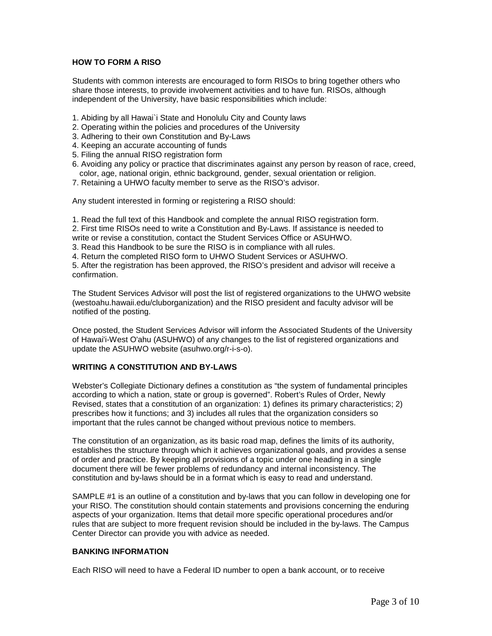# **HOW TO FORM A RISO**

Students with common interests are encouraged to form RISOs to bring together others who share those interests, to provide involvement activities and to have fun. RISOs, although independent of the University, have basic responsibilities which include:

- 1. Abiding by all Hawai`i State and Honolulu City and County laws
- 2. Operating within the policies and procedures of the University
- 3. Adhering to their own Constitution and By-Laws
- 4. Keeping an accurate accounting of funds
- 5. Filing the annual RISO registration form
- 6. Avoiding any policy or practice that discriminates against any person by reason of race, creed, color, age, national origin, ethnic background, gender, sexual orientation or religion.
- 7. Retaining a UHWO faculty member to serve as the RISO's advisor.

Any student interested in forming or registering a RISO should:

1. Read the full text of this Handbook and complete the annual RISO registration form.

2. First time RISOs need to write a Constitution and By-Laws. If assistance is needed to

write or revise a constitution, contact the Student Services Office or ASUHWO.

3. Read this Handbook to be sure the RISO is in compliance with all rules.

4. Return the completed RISO form to UHWO Student Services or ASUHWO.

5. After the registration has been approved, the RISO's president and advisor will receive a confirmation.

The Student Services Advisor will post the list of registered organizations to the UHWO website (westoahu.hawaii.edu/cluborganization) and the RISO president and faculty advisor will be notified of the posting.

Once posted, the Student Services Advisor will inform the Associated Students of the University of Hawai'i-West O'ahu (ASUHWO) of any changes to the list of registered organizations and update the ASUHWO website (asuhwo.org/r-i-s-o).

#### **WRITING A CONSTITUTION AND BY-LAWS**

Webster's Collegiate Dictionary defines a constitution as "the system of fundamental principles according to which a nation, state or group is governed". Robert's Rules of Order, Newly Revised, states that a constitution of an organization: 1) defines its primary characteristics; 2) prescribes how it functions; and 3) includes all rules that the organization considers so important that the rules cannot be changed without previous notice to members.

The constitution of an organization, as its basic road map, defines the limits of its authority, establishes the structure through which it achieves organizational goals, and provides a sense of order and practice. By keeping all provisions of a topic under one heading in a single document there will be fewer problems of redundancy and internal inconsistency. The constitution and by-laws should be in a format which is easy to read and understand.

SAMPLE #1 is an outline of a constitution and by-laws that you can follow in developing one for your RISO. The constitution should contain statements and provisions concerning the enduring aspects of your organization. Items that detail more specific operational procedures and/or rules that are subject to more frequent revision should be included in the by-laws. The Campus Center Director can provide you with advice as needed.

## **BANKING INFORMATION**

Each RISO will need to have a Federal ID number to open a bank account, or to receive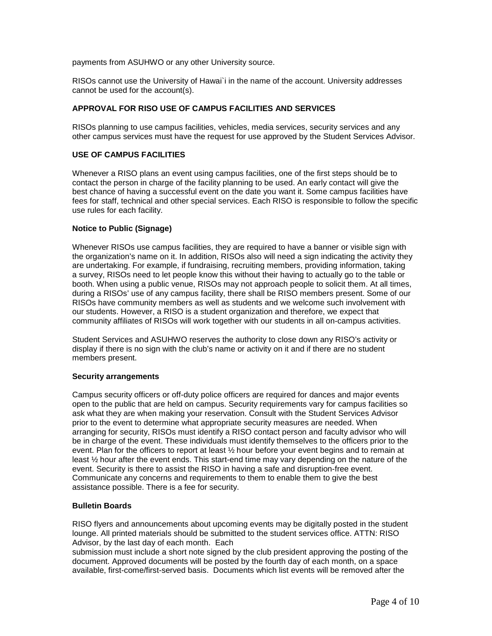payments from ASUHWO or any other University source.

RISOs cannot use the University of Hawai`i in the name of the account. University addresses cannot be used for the account(s).

# **APPROVAL FOR RISO USE OF CAMPUS FACILITIES AND SERVICES**

RISOs planning to use campus facilities, vehicles, media services, security services and any other campus services must have the request for use approved by the Student Services Advisor.

# **USE OF CAMPUS FACILITIES**

Whenever a RISO plans an event using campus facilities, one of the first steps should be to contact the person in charge of the facility planning to be used. An early contact will give the best chance of having a successful event on the date you want it. Some campus facilities have fees for staff, technical and other special services. Each RISO is responsible to follow the specific use rules for each facility.

## **Notice to Public (Signage)**

Whenever RISOs use campus facilities, they are required to have a banner or visible sign with the organization's name on it. In addition, RISOs also will need a sign indicating the activity they are undertaking. For example, if fundraising, recruiting members, providing information, taking a survey, RISOs need to let people know this without their having to actually go to the table or booth. When using a public venue, RISOs may not approach people to solicit them. At all times, during a RISOs' use of any campus facility, there shall be RISO members present. Some of our RISOs have community members as well as students and we welcome such involvement with our students. However, a RISO is a student organization and therefore, we expect that community affiliates of RISOs will work together with our students in all on-campus activities.

Student Services and ASUHWO reserves the authority to close down any RISO's activity or display if there is no sign with the club's name or activity on it and if there are no student members present.

#### **Security arrangements**

Campus security officers or off-duty police officers are required for dances and major events open to the public that are held on campus. Security requirements vary for campus facilities so ask what they are when making your reservation. Consult with the Student Services Advisor prior to the event to determine what appropriate security measures are needed. When arranging for security, RISOs must identify a RISO contact person and faculty advisor who will be in charge of the event. These individuals must identify themselves to the officers prior to the event. Plan for the officers to report at least ½ hour before your event begins and to remain at least ½ hour after the event ends. This start-end time may vary depending on the nature of the event. Security is there to assist the RISO in having a safe and disruption-free event. Communicate any concerns and requirements to them to enable them to give the best assistance possible. There is a fee for security.

# **Bulletin Boards**

RISO flyers and announcements about upcoming events may be digitally posted in the student lounge. All printed materials should be submitted to the student services office. ATTN: RISO Advisor, by the last day of each month. Each

submission must include a short note signed by the club president approving the posting of the document. Approved documents will be posted by the fourth day of each month, on a space available, first-come/first-served basis. Documents which list events will be removed after the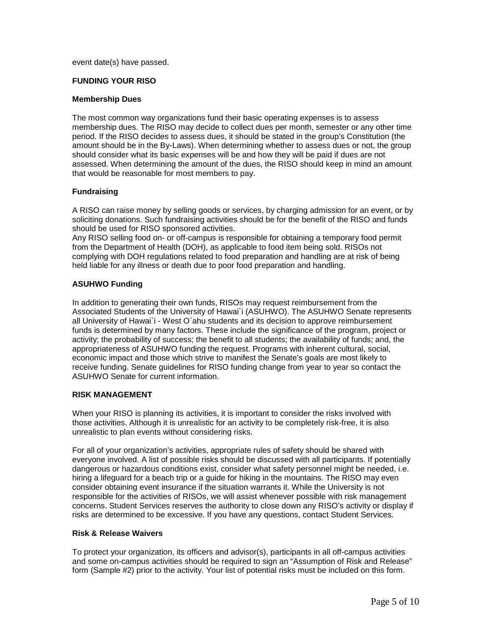event date(s) have passed.

#### **FUNDING YOUR RISO**

#### **Membership Dues**

The most common way organizations fund their basic operating expenses is to assess membership dues. The RISO may decide to collect dues per month, semester or any other time period. If the RISO decides to assess dues, it should be stated in the group's Constitution (the amount should be in the By-Laws). When determining whether to assess dues or not, the group should consider what its basic expenses will be and how they will be paid if dues are not assessed. When determining the amount of the dues, the RISO should keep in mind an amount that would be reasonable for most members to pay.

#### **Fundraising**

A RISO can raise money by selling goods or services, by charging admission for an event, or by soliciting donations. Such fundraising activities should be for the benefit of the RISO and funds should be used for RISO sponsored activities.

Any RISO selling food on- or off-campus is responsible for obtaining a temporary food permit from the Department of Health (DOH), as applicable to food item being sold. RISOs not complying with DOH regulations related to food preparation and handling are at risk of being held liable for any illness or death due to poor food preparation and handling.

#### **ASUHWO Funding**

In addition to generating their own funds, RISOs may request reimbursement from the Associated Students of the University of Hawai`i (ASUHWO). The ASUHWO Senate represents all University of Hawai`i - West O`ahu students and its decision to approve reimbursement funds is determined by many factors. These include the significance of the program, project or activity; the probability of success; the benefit to all students; the availability of funds; and, the appropriateness of ASUHWO funding the request. Programs with inherent cultural, social, economic impact and those which strive to manifest the Senate's goals are most likely to receive funding. Senate guidelines for RISO funding change from year to year so contact the ASUHWO Senate for current information.

#### **RISK MANAGEMENT**

When your RISO is planning its activities, it is important to consider the risks involved with those activities. Although it is unrealistic for an activity to be completely risk-free, it is also unrealistic to plan events without considering risks.

For all of your organization's activities, appropriate rules of safety should be shared with everyone involved. A list of possible risks should be discussed with all participants. If potentially dangerous or hazardous conditions exist, consider what safety personnel might be needed, i.e. hiring a lifeguard for a beach trip or a guide for hiking in the mountains. The RISO may even consider obtaining event insurance if the situation warrants it. While the University is not responsible for the activities of RISOs, we will assist whenever possible with risk management concerns. Student Services reserves the authority to close down any RISO's activity or display if risks are determined to be excessive. If you have any questions, contact Student Services.

#### **Risk & Release Waivers**

To protect your organization, its officers and advisor(s), participants in all off-campus activities and some on-campus activities should be required to sign an "Assumption of Risk and Release" form (Sample #2) prior to the activity. Your list of potential risks must be included on this form.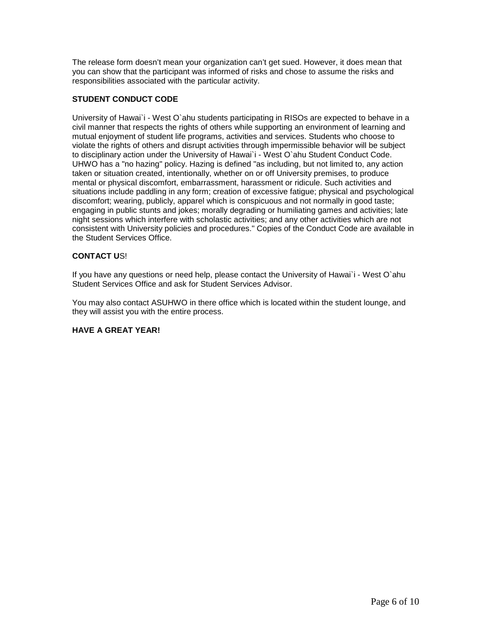The release form doesn't mean your organization can't get sued. However, it does mean that you can show that the participant was informed of risks and chose to assume the risks and responsibilities associated with the particular activity.

# **STUDENT CONDUCT CODE**

University of Hawai`i - West O`ahu students participating in RISOs are expected to behave in a civil manner that respects the rights of others while supporting an environment of learning and mutual enjoyment of student life programs, activities and services. Students who choose to violate the rights of others and disrupt activities through impermissible behavior will be subject to disciplinary action under the University of Hawai`i - West O`ahu Student Conduct Code. UHWO has a "no hazing" policy. Hazing is defined "as including, but not limited to, any action taken or situation created, intentionally, whether on or off University premises, to produce mental or physical discomfort, embarrassment, harassment or ridicule. Such activities and situations include paddling in any form; creation of excessive fatigue; physical and psychological discomfort; wearing, publicly, apparel which is conspicuous and not normally in good taste; engaging in public stunts and jokes; morally degrading or humiliating games and activities; late night sessions which interfere with scholastic activities; and any other activities which are not consistent with University policies and procedures." Copies of the Conduct Code are available in the Student Services Office.

# **CONTACT U**S!

If you have any questions or need help, please contact the University of Hawai`i - West O`ahu Student Services Office and ask for Student Services Advisor.

You may also contact ASUHWO in there office which is located within the student lounge, and they will assist you with the entire process.

#### **HAVE A GREAT YEAR!**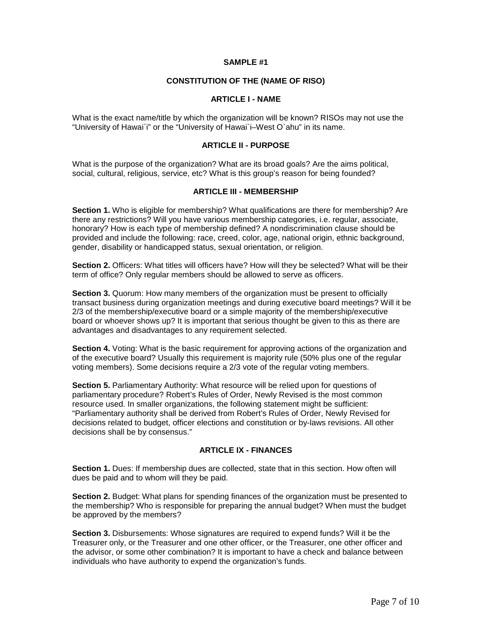#### **SAMPLE #1**

# **CONSTITUTION OF THE (NAME OF RISO)**

#### **ARTICLE I - NAME**

What is the exact name/title by which the organization will be known? RISOs may not use the "University of Hawai`i" or the "University of Hawai`i–West O`ahu" in its name.

## **ARTICLE II - PURPOSE**

What is the purpose of the organization? What are its broad goals? Are the aims political, social, cultural, religious, service, etc? What is this group's reason for being founded?

# **ARTICLE III - MEMBERSHIP**

**Section 1.** Who is eligible for membership? What qualifications are there for membership? Are there any restrictions? Will you have various membership categories, i.e. regular, associate, honorary? How is each type of membership defined? A nondiscrimination clause should be provided and include the following: race, creed, color, age, national origin, ethnic background, gender, disability or handicapped status, sexual orientation, or religion.

**Section 2.** Officers: What titles will officers have? How will they be selected? What will be their term of office? Only regular members should be allowed to serve as officers.

**Section 3.** Quorum: How many members of the organization must be present to officially transact business during organization meetings and during executive board meetings? Will it be 2/3 of the membership/executive board or a simple majority of the membership/executive board or whoever shows up? It is important that serious thought be given to this as there are advantages and disadvantages to any requirement selected.

**Section 4.** Voting: What is the basic requirement for approving actions of the organization and of the executive board? Usually this requirement is majority rule (50% plus one of the regular voting members). Some decisions require a 2/3 vote of the regular voting members.

**Section 5.** Parliamentary Authority: What resource will be relied upon for questions of parliamentary procedure? Robert's Rules of Order, Newly Revised is the most common resource used. In smaller organizations, the following statement might be sufficient: "Parliamentary authority shall be derived from Robert's Rules of Order, Newly Revised for decisions related to budget, officer elections and constitution or by-laws revisions. All other decisions shall be by consensus."

# **ARTICLE IX - FINANCES**

**Section 1.** Dues: If membership dues are collected, state that in this section. How often will dues be paid and to whom will they be paid.

**Section 2.** Budget: What plans for spending finances of the organization must be presented to the membership? Who is responsible for preparing the annual budget? When must the budget be approved by the members?

**Section 3.** Disbursements: Whose signatures are required to expend funds? Will it be the Treasurer only, or the Treasurer and one other officer, or the Treasurer, one other officer and the advisor, or some other combination? It is important to have a check and balance between individuals who have authority to expend the organization's funds.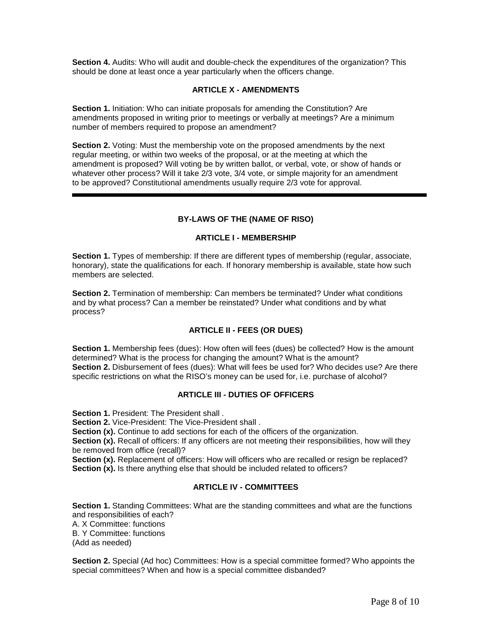**Section 4.** Audits: Who will audit and double-check the expenditures of the organization? This should be done at least once a year particularly when the officers change.

## **ARTICLE X - AMENDMENTS**

**Section 1.** Initiation: Who can initiate proposals for amending the Constitution? Are amendments proposed in writing prior to meetings or verbally at meetings? Are a minimum number of members required to propose an amendment?

**Section 2.** Voting: Must the membership vote on the proposed amendments by the next regular meeting, or within two weeks of the proposal, or at the meeting at which the amendment is proposed? Will voting be by written ballot, or verbal, vote, or show of hands or whatever other process? Will it take 2/3 vote, 3/4 vote, or simple majority for an amendment to be approved? Constitutional amendments usually require 2/3 vote for approval.

## **BY-LAWS OF THE (NAME OF RISO)**

## **ARTICLE I - MEMBERSHIP**

**Section 1.** Types of membership: If there are different types of membership (regular, associate, honorary), state the qualifications for each. If honorary membership is available, state how such members are selected.

**Section 2.** Termination of membership: Can members be terminated? Under what conditions and by what process? Can a member be reinstated? Under what conditions and by what process?

# **ARTICLE II - FEES (OR DUES)**

**Section 1.** Membership fees (dues): How often will fees (dues) be collected? How is the amount determined? What is the process for changing the amount? What is the amount? **Section 2.** Disbursement of fees (dues): What will fees be used for? Who decides use? Are there specific restrictions on what the RISO's money can be used for, i.e. purchase of alcohol?

# **ARTICLE III - DUTIES OF OFFICERS**

**Section 1.** President: The President shall .

l

**Section 2.** Vice-President: The Vice-President shall.

**Section (x).** Continue to add sections for each of the officers of the organization.

**Section (x).** Recall of officers: If any officers are not meeting their responsibilities, how will they be removed from office (recall)?

Section (x). Replacement of officers: How will officers who are recalled or resign be replaced? **Section (x).** Is there anything else that should be included related to officers?

## **ARTICLE IV - COMMITTEES**

**Section 1.** Standing Committees: What are the standing committees and what are the functions and responsibilities of each? A. X Committee: functions B. Y Committee: functions (Add as needed)

**Section 2.** Special (Ad hoc) Committees: How is a special committee formed? Who appoints the special committees? When and how is a special committee disbanded?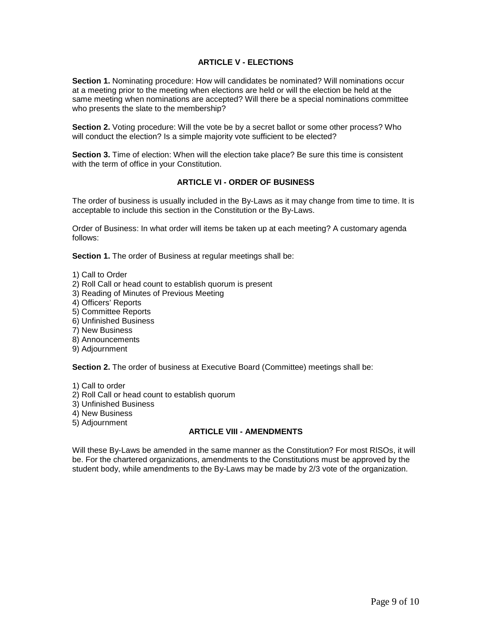# **ARTICLE V - ELECTIONS**

**Section 1.** Nominating procedure: How will candidates be nominated? Will nominations occur at a meeting prior to the meeting when elections are held or will the election be held at the same meeting when nominations are accepted? Will there be a special nominations committee who presents the slate to the membership?

**Section 2.** Voting procedure: Will the vote be by a secret ballot or some other process? Who will conduct the election? Is a simple majority vote sufficient to be elected?

**Section 3.** Time of election: When will the election take place? Be sure this time is consistent with the term of office in your Constitution.

# **ARTICLE VI - ORDER OF BUSINESS**

The order of business is usually included in the By-Laws as it may change from time to time. It is acceptable to include this section in the Constitution or the By-Laws.

Order of Business: In what order will items be taken up at each meeting? A customary agenda follows:

**Section 1.** The order of Business at regular meetings shall be:

1) Call to Order

- 2) Roll Call or head count to establish quorum is present
- 3) Reading of Minutes of Previous Meeting
- 4) Officers' Reports
- 5) Committee Reports
- 6) Unfinished Business
- 7) New Business
- 8) Announcements
- 9) Adjournment

**Section 2.** The order of business at Executive Board (Committee) meetings shall be:

1) Call to order

- 2) Roll Call or head count to establish quorum
- 3) Unfinished Business
- 4) New Business
- 5) Adjournment

#### **ARTICLE VIII - AMENDMENTS**

Will these By-Laws be amended in the same manner as the Constitution? For most RISOs, it will be. For the chartered organizations, amendments to the Constitutions must be approved by the student body, while amendments to the By-Laws may be made by 2/3 vote of the organization.